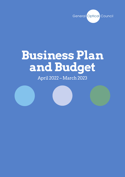

# **Business Plan and Budget**

April 2022 – March 2023

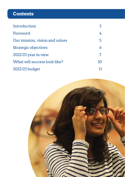# **Contents**

| Introduction                   |    |
|--------------------------------|----|
| Foreword                       |    |
| Our mission, vision and values | 5  |
| <b>Strategic objectives</b>    |    |
| 2022/23 year in view           |    |
| What will success look like?   | 10 |
| 2022/23 budget                 | 11 |

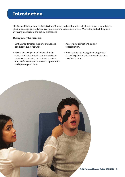## <span id="page-2-0"></span>**Introduction**

The General Optical Council (GOC) is the UK-wide regulator for optometrists and dispensing opticians, student optometrists and dispensing opticians, and optical businesses. We exist to protect the public by raising standards in the optical professions.

#### **Our regulatory functions are:**

- Setting standards for the performance and conduct of our registrants.
- Maintaining a register of individuals who are fit to practise or train as optometrists or dispensing opticians, and bodies corporate who are fit to carry on business as optometrists or dispensing opticians.
- Approving qualifications leading to registration.
- Investigating and acting where registrants' fitness to practise, train or carry on business may be impaired.

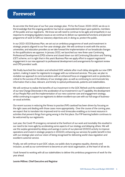### **Foreword**

As we enter the third year of our five-year strategic plan, 'Fit for the Future: 2020–2025', we do so in the knowledge that the ongoing pandemic has had an unprecedented impact upon patients, members of the public and our registrants. We know we will need to continue to be agile and empathetic in our response to emerging regulatory issues as we continue to deliver our operational functions and planned programme of work to fulfil our statutory objectives and, in doing so, protect the public.

In our 2022–2023 Business Plan, we set out an ambitious programme of work and investment in strategic projects aligned to our five-year strategic plan. We will continue to work with the sector, universities, and education providers as we take forward the implementation of our broadscale changes to the qualifications we approve. In January 2022, we launched our new three-year Continuing Professional Development (CPD) scheme and closed down our old Continuing Education and Training (CET) scheme, so it is right that in this year's Business Plan we apply effort to support registrants' engagement in our new approach to professional development and arrangements for registrant review and CPD providers' audit.

We finally launched the modern and refreshed GOC website after much delay alongside our new CRM system, making it easier for registrants to engage with our enhanced services. This year, we plan to revitalize our approach to communications with an enhanced focus on engagement and co-production, critical to the success of the delivery of our strategic plan, as well as continuing to communicate key information that is clear, relevant, and timely to optical professionals, patients and stakeholders.

We will continue to realise the benefits of our investment in the GOC Refresh and the establishment of our new Change Directorate in the acceleration of our investment in our IT capability, the development of our People Plan and the implementation of our new customer care and engagement strategy, whilst continuing to support our registrants to deliver excellent eye care with our full range of businessas-usual activities.

Our recent success in reducing the fitness to practise (FtP) caseload has been driven by focusing on the right cases and dealing with those cases more appropriately. Over the course of the coming year, we expect that to translate into improved end-to-end timescales enabling us to invest resource in activities that prevent things from going wrong in the first place. Our FtP learning bulletin continues to be welcomed by our registrants.

Last year, the Covid-19 emergency remained at the forefront of our work and inevitably this resulted in our need to be more agile by accelerating some aspects of our strategy and delaying others. We will use the surplus generated by delays and savings in some of our planned 2021/22 activity to improve operations and invest in strategic projects in 2022/23, enhancing our services for public benefit in line with our strategic plan and our vision of being recognised for delivering world-class regulation and excellent customer service.

Finally, we will continue to put GOC values, our public duty to progress equality, diversity and inclusion, as well as our commitment to become an anti-racist organisation, at the heart of all we do.

I look forward to working with all our stakeholders to deliver this ambitious programme of work for the year ahead.

#### **Leonie Milliner, Chief Executive and Registrar**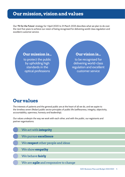#### <span id="page-4-0"></span>**Our mission, vision and values**

Our '**Fit for the Future**' strategy for 1 April 2020 to 31 March 2025 describes what we plan to do over the next five years to achieve our vision of being recognised for delivering world-class regulation and excellent customer service.



## **Our values**

The interests of patients and the general public are at the heart of all we do, and we aspire to the timeless seven (Nolan) public sector principles of public life (selflessness, integrity, objectivity, accountability, openness, honesty and leadership).

Our values underpin the way we work with each other, and with the public, our registrants and partner organisations:

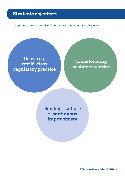## <span id="page-5-0"></span>**Strategic objectives**

Our priorities are organised under three overarching strategic objectives:

#### Delivering **world-class regulatory practice**

**Transforming customer service**

Building a culture of **continuous improvement**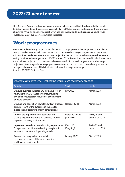This Business Plan sets out our work programmes, milestones and high-level outputs that we plan to deliver alongside our business-as-usual activity in 2022/23 in order to deliver our three strategic objectives. We plan to achieve a break-even position in relation to our business-as-usual, while investing some of our reserves in strategic projects.

## **Work programmes**

Below we outline the key programmes of work and strategic projects that we plan to undertake in 2022/23 and when they will occur. When the timing provides a single date, i.e., December 2023, this describes the date when the activity or project is expected start, or to be completed. When the timing provides a date range, i.e., April 2022 – June 2022 this describes the period in which we expect the activity or project to commence or to be completed. Some work programmes and strategic projects will take longer than a single year to complete, and some projects have already started but have yet to be completed. This is indicated below with a longer date range than the 2022/23 Business Plan.

| Strategic Objective One - Delivering world-class regulatory practice                                                                                                          |                             |                               |  |  |  |  |  |
|-------------------------------------------------------------------------------------------------------------------------------------------------------------------------------|-----------------------------|-------------------------------|--|--|--|--|--|
| <b>Activity</b>                                                                                                                                                               | <b>Start</b>                | Finish                        |  |  |  |  |  |
| Develop business cases for any legislative reform<br>following the GOC call for evidence, including<br>any additional research required or development<br>of policy positions | <b>July 2022</b>            | <b>March 2023</b>             |  |  |  |  |  |
| Develop and consult on new standards of practice,<br>taking account of the outcome of the call for<br>evidence and legislative reform consultations                           | October 2022                | <b>March 2023</b>             |  |  |  |  |  |
| Publish and implement new education and<br>training requirements for GOC post-registration<br>approved specialty qualifications                                               | March 2022 and<br>June 2022 | 2024/25 and<br>beyond to 2026 |  |  |  |  |  |
| Implement new education and training requirements<br>for approved qualifications leading to registration<br>as an optometrist or a dispensing optician                        | March 2021<br>(Ongoing)     | 2024/25 and<br>beyond to 2028 |  |  |  |  |  |
| Commission longitudinal research to<br>measure the impact of the new education<br>and training requirements                                                                   | January 2023                | <b>March 2023</b>             |  |  |  |  |  |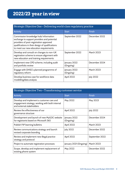| Strategic Objective One - Delivering world-class regulatory practice                                                                                                                                                          |                           |                   |  |  |  |  |
|-------------------------------------------------------------------------------------------------------------------------------------------------------------------------------------------------------------------------------|---------------------------|-------------------|--|--|--|--|
| <b>Activity</b>                                                                                                                                                                                                               | <b>Start</b>              | Finish            |  |  |  |  |
| Commission knowledge hub/ information<br>exchange to support providers and potential<br>providers of post-registration approved<br>qualifications in their design of qualifications<br>to meet our new education requirements | September 2022            | December 2022     |  |  |  |  |
| Develop and consult on changes to non-UK<br>registration scheme to ensure alignment with<br>new education and training requirements                                                                                           | September 2022            | <b>March 2023</b> |  |  |  |  |
| Implement new CPD scheme, including audit<br>and portfolio review                                                                                                                                                             | January 2022<br>(Ongoing) | December 2024     |  |  |  |  |
| Engage with DHSC's planned programme of<br>regulatory reform                                                                                                                                                                  | January 2022<br>(Ongoing) | <b>March 2023</b> |  |  |  |  |
| Develop business case for workforce data<br>modelling/data analysis                                                                                                                                                           | April 2022                | <b>July 2022</b>  |  |  |  |  |

| Strategic Objective Two - Transforming customer service                                                                   |                           |                   |  |  |  |  |  |
|---------------------------------------------------------------------------------------------------------------------------|---------------------------|-------------------|--|--|--|--|--|
| <b>Activity</b>                                                                                                           | <b>Start</b>              | <b>Finish</b>     |  |  |  |  |  |
| Develop and implement a customer care and<br>engagement strategy, working with both internal<br>and external stakeholders | May 2022                  | May 2023          |  |  |  |  |  |
| Review the effectiveness of our<br>governance structure                                                                   | April 2022                | <b>July 2022</b>  |  |  |  |  |  |
| Development and launch of new MyGOC website<br>for registrants based on Microsoft 365                                     | January 2022<br>(Ongoing) | December 2024     |  |  |  |  |  |
| Publish FtP learning bulletins                                                                                            | April 2022                | <b>March 2023</b> |  |  |  |  |  |
| Review communications strategy and launch<br>revised corporate branding                                                   | <b>July 2022</b>          | December 2022     |  |  |  |  |  |
| Review and implement new illegal practice<br>strategy and protocol                                                        | April 2022                | September 2022    |  |  |  |  |  |
| Project to automate registration processes                                                                                | January 2021 (Ongoing)    | <b>March 2023</b> |  |  |  |  |  |
| Scope, develop and implement replacement of<br>existing phone system                                                      | May 2022                  | December 2022     |  |  |  |  |  |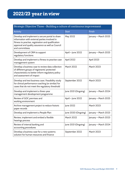#### Strategic Objective Three – Building a culture of continuous improvement

| <b>Activity</b>                                                                                                                                                                                                               | <b>Start</b>        | Finish               |
|-------------------------------------------------------------------------------------------------------------------------------------------------------------------------------------------------------------------------------|---------------------|----------------------|
| Develop and implement a secure portal to share<br>information with external parties involved in<br>fitness to practise, registration and qualification<br>approval and quality assurance as well as Council<br>and committees | <b>May 2022</b>     | January - March 2025 |
| Development of CRM to support<br>regulatory functions                                                                                                                                                                         | April - June 2022   | January - March 2025 |
| Develop and implement a fitness to practise case<br>management system                                                                                                                                                         | April 2022          | April 2023           |
| Develop a business case to review data collection<br>of different groups of registrants' protected<br>characteristics to better inform regulatory policy<br>and assessment of impact                                          | <b>March 2022</b>   | March 2023           |
| Develop and test business case / feasibility study<br>for clinical performance coaching (or similar) for<br>cases that do not meet the regulatory threshold                                                                   | September 2022      | <b>March 2023</b>    |
| Develop and implement a three-year<br>management development programme                                                                                                                                                        | June 2021 (Ongoing) | January - March 2024 |
| Review of GOC premises and<br>working environment                                                                                                                                                                             | April - June 2022   | January - March 2025 |
| Archive management project to reduce historic<br>paper records                                                                                                                                                                | June 2022           | March 2023           |
| Develop and implement a People Plan                                                                                                                                                                                           | June 2020 (Ongoing) | January - March 2023 |
| Review, implement and embed a flexible<br>hearings process                                                                                                                                                                    | <b>March 2022</b>   | January - March 2023 |
| Review of internal banking and<br>accounting procedures                                                                                                                                                                       | June 2021 (Ongoing) | January - March 2024 |
| Develop a business case for a new systems<br>solution for human resources and finance                                                                                                                                         | September 2022      | <b>March 2023</b>    |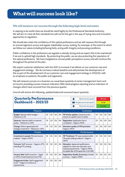#### We will measure our success through the following high-level outcomes:

In aspiring to be world-class we should be rated highly by the Professional Standards Authority. We will aim to meet all their standards but will not let this get in the way of trying new and innovative approaches to regulation.

We should also retain the confidence of the optical professions and we will measure this through an annual registrant survey and regular stakeholder survey, looking, for example, at the extent to which we follow our values including behaving fairly, acting with integrity and pursuing excellence.

Public confidence in the professions we regulate is already strong and we expect this to be maintained if we are to uphold high standards. By protecting the public, we are also protecting the reputation of the optical professions. We have instigated an annual public perceptions survey and will continue this throughout the period of this plan.

We expect customer satisfaction with the GOC to increase if we deliver on our customer care and engagement strategy. We do not have a robust baseline and will prioritise the development of this as part of the development of our customer care and engagement strategy in 2022/23, with an emphasis on patients, the public and registrants.

We will measure success on a business-as-usual basis quarterly at senior management team and at Council, providing success measure indicators, RAG rated progress reporting and an indication of changes which have occurred from the previous quarter.

| <b>Quarterly Performance</b><br><b>Dashboard - 2022/23</b>                              |    |                |                | <b>Better than last quarter</b><br>Roughly same as last quarter<br>Worse than last quarter |                                                                                                                                                                    | Off track<br>At risk<br>On track |                |                |                |
|-----------------------------------------------------------------------------------------|----|----------------|----------------|--------------------------------------------------------------------------------------------|--------------------------------------------------------------------------------------------------------------------------------------------------------------------|----------------------------------|----------------|----------------|----------------|
| Finance                                                                                 |    |                |                | Customer                                                                                   |                                                                                                                                                                    |                                  |                |                |                |
| <b>Budget:</b> Operate within budget $-$<br>Tolerance is ±10                            | Q1 | Q <sub>2</sub> | Q <sub>3</sub> | Q4                                                                                         | FtP timely updates: Customers who<br>recieve an update every 12 weeks                                                                                              | Q1                               | Q <sub>2</sub> | Q <sub>3</sub> | Q4             |
| <b>Reserves:</b> Operate within or reserves<br>policy - Tolerance is ±10%               | Q1 | Q <sub>2</sub> | Q <sub>3</sub> | Q4                                                                                         | <b>Registration: Application forms</b><br>completed - Target is ≤90%                                                                                               |                                  | Q <sub>2</sub> | Q <sub>3</sub> | Q <sub>4</sub> |
| <b>Change: Deliver agreed planned</b><br>strategic investment - Tolerance is ±10%       | Q1 | Q <sub>2</sub> | Q <sub>3</sub> | Q4                                                                                         | Education quality of CPD provision:<br>Target is ≤90%                                                                                                              | Q1                               | Q <sub>2</sub> | Q <sub>3</sub> | Q4             |
| People                                                                                  |    |                | Performance    |                                                                                            |                                                                                                                                                                    |                                  |                |                |                |
| Investment in people: Planned events<br>realised – Target is $\leq 90\%$                | Q1 | Q <sub>2</sub> | Q <sub>3</sub> | Q4                                                                                         | <b>FtP Timeliness:</b> FtP cases resolved within<br>78 weeks (rolling medium) – Target is<br>≤60\%                                                                 | Q1                               | Q <sub>2</sub> | Q <sub>3</sub> | Q4             |
| <b>Turnover:</b> Staff turnover $-$ Target is $\leq$ 17%<br>(exluding FTCs ending)      | Q1 | Q <sub>2</sub> | Q <sub>3</sub> | Q4                                                                                         | <b>Education: Approved qualifications</b><br>adapted to meet new education and<br>training requirements - Target is 100%<br>by September 2025 (apart from CoO SfR) | Q1                               | Q <sub>2</sub> | Q <sub>3</sub> | Q4             |
| Vacancy Rate: Staff vacancies - Target<br>is ±10% of total headcount (not FTE)          | Q1 | Q <sub>2</sub> | Q <sub>3</sub> | Q4                                                                                         | Registration Quality & Accuracy: Overall<br>$accuracy - Target$ is $\leq 98\%$                                                                                     | Q1                               | Q <sub>2</sub> | Q <sub>2</sub> | Q4             |
| Engagement Index: Staff engagement<br>$score - Target$ is to achieve an<br>upward trend | Q1 | Q <sub>2</sub> | Q <sub>3</sub> | Q4                                                                                         |                                                                                                                                                                    |                                  |                |                |                |

Council will receive the following, updated balanced scorecard report quarterly: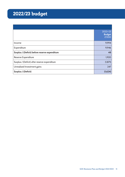# **Contents 2022/23 budget**

|                                                | $2022 - 23$<br><b>Budget</b><br>£'000 |
|------------------------------------------------|---------------------------------------|
| Income                                         | 9,994                                 |
| Expenditure                                    | 9,946                                 |
| Surplus / (Deficit) before reserve expenditure | 48                                    |
| Reserve Expenditure                            | 1,920                                 |
| Surplus / (Deficit) after reserve expenditure  | (1, 871)                              |
| Unrealised Investment gains                    | 247                                   |
| Surplus / (Deficit)                            | (1,624)                               |